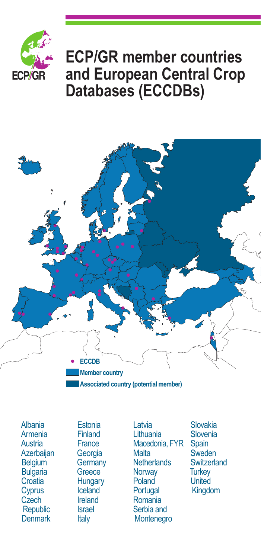

## **ECP/GR member countries and European Central Crop Databases (ECCDBs)**



Albania Armenia **Austria Azerbaijan Belgium Bulgaria Croatia Cyprus Czech Republic Denmark** 

**Estonia** Finland **France Georgia Germany Greece Hungary** Iceland Ireland Israel Italy

Latvia Lithuania Macedonia, FYR **Malta Netherlands Norway** Poland **Portugal** Romania Serbia and **Montenegro** 

Slovakia Slovenia **Spain Sweden Switzerland Turkey United** Kingdom